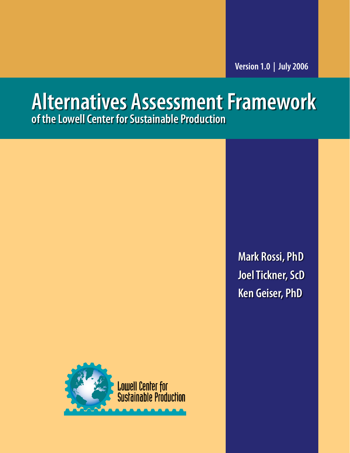# **Alternatives Assessment Framework of the Lowell Center for Sustainable Production**



**Mark Rossi, PhD Joel Tickner, ScD Ken Geiser, PhD**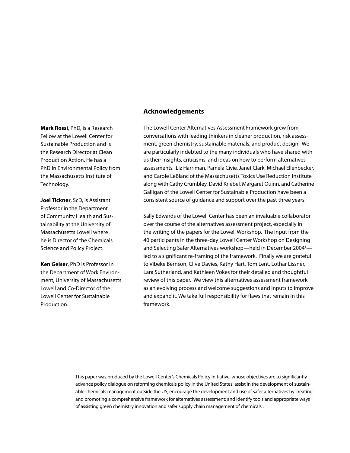**Mark Rossi**, PhD, is a Research Fellow at the Lowell Center for Sustainable Production and is the Research Director at Clean Production Action. He has a PhD in Environmental Policy from the Massachusetts Institute of Technology.

**Joel Tickner**, ScD, is Assistant Professor in the Department of Community Health and Sustainability at the University of Massachusetts Lowell where he is Director of the Chemicals Science and Policy Project.

**Ken Geiser**, PhD is Professor in the Department of Work Environment, University of Massachusetts Lowell and Co-Director of the Lowell Center for Sustainable Production.

### **Acknowledgements**

The Lowell Center Alternatives Assessment Framework grew from conversations with leading thinkers in cleaner production, risk assessment, green chemistry, sustainable materials, and product design. We are particularly indebted to the many individuals who have shared with us their insights, criticisms, and ideas on how to perform alternatives assessments. Liz Harriman, Pamela Civie, Janet Clark, Michael Ellenbecker, and Carole LeBlanc of the Massachusetts Toxics Use Reduction Institute along with Cathy Crumbley, David Kriebel, Margaret Quinn, and Catherine Galligan of the Lowell Center for Sustainable Production have been a consistent source of guidance and support over the past three years.

Sally Edwards of the Lowell Center has been an invaluable collaborator over the course of the alternatives assessment project, especially in the writing of the papers for the Lowell Workshop. The input from the 40 participants in the three-day Lowell Center Workshop on Designing and Selecting Safer Alternatives workshop—held in December 2004<sup>1</sup> led to a significant re-framing of the framework. Finally we are grateful to Vibeke Bernson, Clive Davies, Kathy Hart, Tom Lent, Lothar Lissner, Lara Sutherland, and Kathleen Vokes for their detailed and thoughtful review of this paper. We view this alternatives assessment framework as an evolving process and welcome suggestions and inputs to improve and expand it. We take full responsibility for flaws that remain in this framework.

This paper was produced by the Lowell Center's Chemicals Policy Initiative, whose objectives are to significantly advance policy dialogue on reforming chemicals policy in the United States; assist in the development of sustainable chemicals management outside the US; encourage the development and use of safer alternatives by creating and promoting a comprehensive framework for alternatives assessment; and identify tools and appropriate ways of assisting green chemistry innovation and safer supply chain management of chemicals.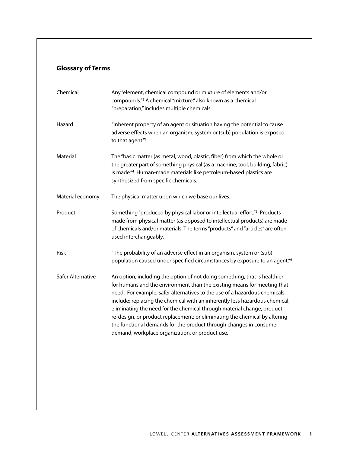# **Glossary of Terms**

| "Inherent property of an agent or situation having the potential to cause<br>adverse effects when an organism, system or (sub) population is exposed<br>to that agent."3                                                                                                                                                                                                                                                                                                                                                                                                                          |
|---------------------------------------------------------------------------------------------------------------------------------------------------------------------------------------------------------------------------------------------------------------------------------------------------------------------------------------------------------------------------------------------------------------------------------------------------------------------------------------------------------------------------------------------------------------------------------------------------|
|                                                                                                                                                                                                                                                                                                                                                                                                                                                                                                                                                                                                   |
| The "basic matter (as metal, wood, plastic, fiber) from which the whole or<br>the greater part of something physical (as a machine, tool, building, fabric)<br>is made." <sup>4</sup> Human-made materials like petroleum-based plastics are<br>synthesized from specific chemicals.                                                                                                                                                                                                                                                                                                              |
| The physical matter upon which we base our lives.                                                                                                                                                                                                                                                                                                                                                                                                                                                                                                                                                 |
| Something "produced by physical labor or intellectual effort." <sup>5</sup> Products<br>made from physical matter (as opposed to intellectual products) are made<br>of chemicals and/or materials. The terms "products" and "articles" are often<br>used interchangeably.                                                                                                                                                                                                                                                                                                                         |
| "The probability of an adverse effect in an organism, system or (sub)<br>population caused under specified circumstances by exposure to an agent." <sup>6</sup>                                                                                                                                                                                                                                                                                                                                                                                                                                   |
| An option, including the option of not doing something, that is healthier<br>for humans and the environment than the existing means for meeting that<br>need. For example, safer alternatives to the use of a hazardous chemicals<br>include: replacing the chemical with an inherently less hazardous chemical;<br>eliminating the need for the chemical through material change, product<br>re-design, or product replacement; or eliminating the chemical by altering<br>the functional demands for the product through changes in consumer<br>demand, workplace organization, or product use. |
|                                                                                                                                                                                                                                                                                                                                                                                                                                                                                                                                                                                                   |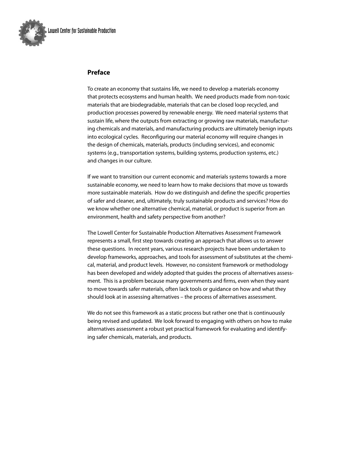

### **Preface**

To create an economy that sustains life, we need to develop a materials economy that protects ecosystems and human health. We need products made from non-toxic materials that are biodegradable, materials that can be closed loop recycled, and production processes powered by renewable energy. We need material systems that sustain life, where the outputs from extracting or growing raw materials, manufacturing chemicals and materials, and manufacturing products are ultimately benign inputs into ecological cycles. Reconfiguring our material economy will require changes in the design of chemicals, materials, products (including services), and economic systems (e.g., transportation systems, building systems, production systems, etc.) and changes in our culture.

If we want to transition our current economic and materials systems towards a more sustainable economy, we need to learn how to make decisions that move us towards more sustainable materials. How do we distinguish and define the specific properties of safer and cleaner, and, ultimately, truly sustainable products and services? How do we know whether one alternative chemical, material, or product is superior from an environment, health and safety perspective from another?

The Lowell Center for Sustainable Production Alternatives Assessment Framework represents a small, first step towards creating an approach that allows us to answer these questions. In recent years, various research projects have been undertaken to develop frameworks, approaches, and tools for assessment of substitutes at the chemical, material, and product levels. However, no consistent framework or methodology has been developed and widely adopted that guides the process of alternatives assessment. This is a problem because many governments and firms, even when they want to move towards safer materials, often lack tools or guidance on how and what they should look at in assessing alternatives – the process of alternatives assessment.

We do not see this framework as a static process but rather one that is continuously being revised and updated. We look forward to engaging with others on how to make alternatives assessment a robust yet practical framework for evaluating and identifying safer chemicals, materials, and products.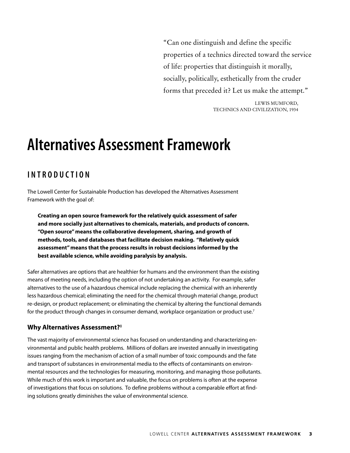"Can one distinguish and define the specific properties of a technics directed toward the service of life: properties that distinguish it morally, socially, politically, esthetically from the cruder forms that preceded it? Let us make the attempt."

> Lewis MuMford, TeChniCs and CiviLizaTion, 1934

# **Alternatives Assessment Framework**

# **I n T R o D u CTI o n**

The Lowell Center for Sustainable Production has developed the Alternatives Assessment Framework with the goal of:

**Creating an open source framework for the relatively quick assessment of safer and more socially just alternatives to chemicals, materials, and products of concern. "Open source" means the collaborative development, sharing, and growth of methods, tools, and databases that facilitate decision making. "Relatively quick assessment" means that the process results in robust decisions informed by the best available science, while avoiding paralysis by analysis.** 

Safer alternatives are options that are healthier for humans and the environment than the existing means of meeting needs, including the option of not undertaking an activity. For example, safer alternatives to the use of a hazardous chemical include replacing the chemical with an inherently less hazardous chemical; eliminating the need for the chemical through material change, product re-design, or product replacement; or eliminating the chemical by altering the functional demands for the product through changes in consumer demand, workplace organization or product use.<sup>7</sup>

# **Why Alternatives Assessment?**<sup>8</sup>

The vast majority of environmental science has focused on understanding and characterizing environmental and public health problems. Millions of dollars are invested annually in investigating issues ranging from the mechanism of action of a small number of toxic compounds and the fate and transport of substances in environmental media to the effects of contaminants on environmental resources and the technologies for measuring, monitoring, and managing those pollutants. While much of this work is important and valuable, the focus on problems is often at the expense of investigations that focus on solutions. To define problems without a comparable effort at finding solutions greatly diminishes the value of environmental science.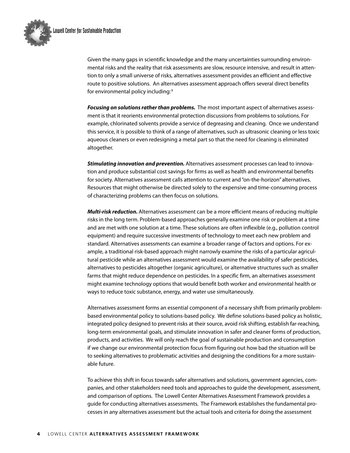

Given the many gaps in scientific knowledge and the many uncertainties surrounding environmental risks and the reality that risk assessments are slow, resource intensive, and result in attention to only a small universe of risks, alternatives assessment provides an efficient and effective route to positive solutions. An alternatives assessment approach offers several direct benefits for environmental policy including:<sup>9</sup>

*Focusing on solutions rather than problems.* The most important aspect of alternatives assessment is that it reorients environmental protection discussions from problems to solutions. For example, chlorinated solvents provide a service of degreasing and cleaning. Once we understand this service, it is possible to think of a range of alternatives, such as ultrasonic cleaning or less toxic aqueous cleaners or even redesigning a metal part so that the need for cleaning is eliminated altogether.

*Stimulating innovation and prevention.* Alternatives assessment processes can lead to innovation and produce substantial cost savings for firms as well as health and environmental benefits for society. Alternatives assessment calls attention to current and "on-the-horizon" alternatives. Resources that might otherwise be directed solely to the expensive and time-consuming process of characterizing problems can then focus on solutions.

*Multi-risk reduction.* Alternatives assessment can be a more efficient means of reducing multiple risks in the long term. Problem-based approaches generally examine one risk or problem at a time and are met with one solution at a time. These solutions are often inflexible (e.g., pollution control equipment) and require successive investments of technology to meet each new problem and standard. Alternatives assessments can examine a broader range of factors and options. For example, a traditional risk-based approach might narrowly examine the risks of a particular agricultural pesticide while an alternatives assessment would examine the availability of safer pesticides, alternatives to pesticides altogether (organic agriculture), or alternative structures such as smaller farms that might reduce dependence on pesticides. In a specific firm, an alternatives assessment might examine technology options that would benefit both worker and environmental health or ways to reduce toxic substance, energy, and water use simultaneously.

Alternatives assessment forms an essential component of a necessary shift from primarily problembased environmental policy to solutions-based policy. We define solutions-based policy as holistic, integrated policy designed to prevent risks at their source, avoid risk shifting, establish far-reaching, long-term environmental goals, and stimulate innovation in safer and cleaner forms of production, products, and activities. We will only reach the goal of sustainable production and consumption if we change our environmental protection focus from figuring out how bad the situation will be to seeking alternatives to problematic activities and designing the conditions for a more sustainable future.

To achieve this shift in focus towards safer alternatives and solutions, government agencies, companies, and other stakeholders need tools and approaches to guide the development, assessment, and comparison of options. The Lowell Center Alternatives Assessment Framework provides a guide for conducting alternatives assessments. The Framework establishes the fundamental processes in any alternatives assessment but the actual tools and criteria for doing the assessment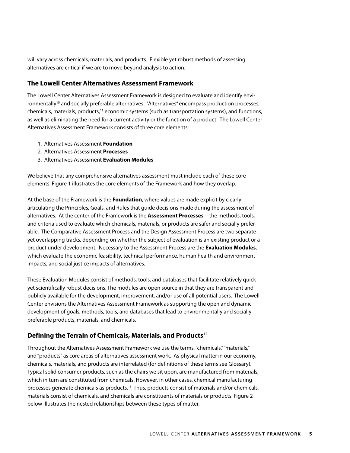will vary across chemicals, materials, and products. Flexible yet robust methods of assessing alternatives are critical if we are to move beyond analysis to action.

### **The Lowell Center Alternatives Assessment Framework**

The Lowell Center Alternatives Assessment Framework is designed to evaluate and identify environmentally<sup>10</sup> and socially preferable alternatives. "Alternatives" encompass production processes, chemicals, materials, products, 11 economic systems (such as transportation systems), and functions, as well as eliminating the need for a current activity or the function of a product. The Lowell Center Alternatives Assessment Framework consists of three core elements:

- 1. Alternatives Assessment **Foundation**
- 2. Alternatives Assessment **Processes**
- 3. Alternatives Assessment **Evaluation Modules**

We believe that any comprehensive alternatives assessment must include each of these core elements. Figure 1 illustrates the core elements of the Framework and how they overlap.

At the base of the Framework is the **Foundation**, where values are made explicit by clearly articulating the Principles, Goals, and Rules that guide decisions made during the assessment of alternatives. At the center of the Framework is the **Assessment Processes**—the methods, tools, and criteria used to evaluate which chemicals, materials, or products are safer and socially preferable. The Comparative Assessment Process and the Design Assessment Process are two separate yet overlapping tracks, depending on whether the subject of evaluation is an existing product or a product under development. Necessary to the Assessment Process are the **Evaluation Modules**, which evaluate the economic feasibility, technical performance, human health and environment impacts, and social justice impacts of alternatives.

These Evaluation Modules consist of methods, tools, and databases that facilitate relatively quick yet scientifically robust decisions. The modules are open source in that they are transparent and publicly available for the development, improvement, and/or use of all potential users. The Lowell Center envisions the Alternatives Assessment Framework as supporting the open and dynamic development of goals, methods, tools, and databases that lead to environmentally and socially preferable products, materials, and chemicals.

# **Defining the Terrain of Chemicals, Materials, and Products**<sup>12</sup>

Throughout the Alternatives Assessment Framework we use the terms, "chemicals,""materials," and "products" as core areas of alternatives assessment work. As physical matter in our economy, chemicals, materials, and products are interrelated (for definitions of these terms see Glossary). Typical solid consumer products, such as the chairs we sit upon, are manufactured from materials, which in turn are constituted from chemicals. However, in other cases, chemical manufacturing processes generate chemicals as products.<sup>13</sup> Thus, products consist of materials and/or chemicals, materials consist of chemicals, and chemicals are constituents of materials or products. Figure 2 below illustrates the nested relationships between these types of matter.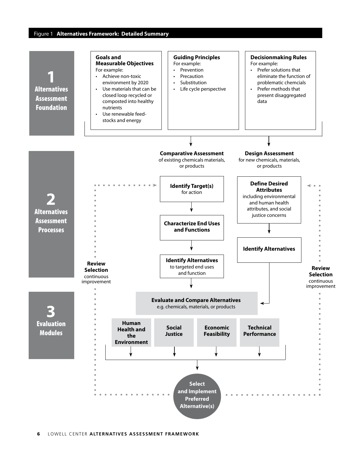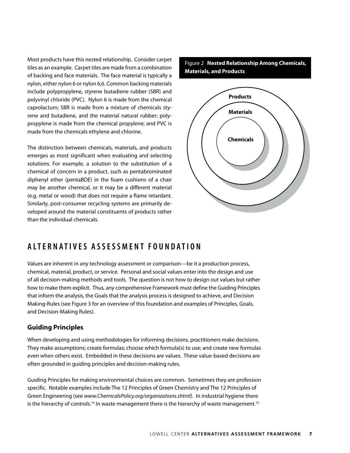Most products have this nested relationship. Consider carpet tiles as an example. Carpet tiles are made from a combination of backing and face materials. The face material is typically a nylon, either nylon 6 or nylon 6,6. Common backing materials include polypropylene, styrene butadiene rubber (SBR) and polyvinyl chloride (PVC). Nylon 6 is made from the chemical caprolactum; SBR is made from a mixture of chemicals styrene and butadiene, and the material natural rubber; polypropylene is made from the chemical propylene; and PVC is made from the chemicals ethylene and chlorine.

The distinction between chemicals, materials, and products emerges as most significant when evaluating and selecting solutions. For example, a solution to the substitution of a chemical of concern in a product, such as pentabrominated diphenyl ether (pentaBDE) in the foam cushions of a chair may be another chemical, or it may be a different material (e.g. metal or wood) that does not require a flame retardant. Similarly, post-consumer recycling systems are primarily developed around the material constituents of products rather than the individual chemicals.

Figure 2 **Nested Relationship Among Chemicals, Materials, and Products**



# **A LTe R n A TI V eS A SSeSS M e n T F o u n D A TI o n**

Values are inherent in any technology assessment or comparison—be it a production process, chemical, material, product, or service. Personal and social values enter into the design and use of all decision-making methods and tools. The question is not how to design out values but rather how to make them explicit. Thus, any comprehensive Framework must define the Guiding Principles that inform the analysis, the Goals that the analysis process is designed to achieve, and Decision Making-Rules (see Figure 3 for an overview of this foundation and examples of Principles, Goals, and Decision-Making Rules).

# **Guiding Principles**

When developing and using methodologies for informing decisions, practitioners make decisions. They make assumptions; create formulas; choose which formula(s) to use; and create new formulas even when others exist. Embedded in these decisions are values. These value-based decisions are often grounded in guiding principles and decision-making rules.

Guiding Principles for making environmental choices are common. Sometimes they are profession specific. Notable examples include The 12 Principles of Green Chemistry and The 12 Principles of Green Engineering (see *www.ChemicalsPolicy.org/organizations.shtml*). In industrial hygiene there is the hierarchy of controls.<sup>14</sup> In waste management there is the hierarchy of waste management.<sup>15</sup>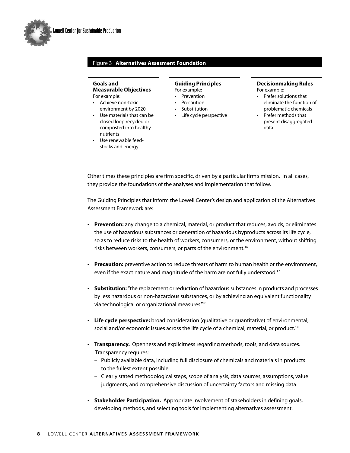

#### Figure 3 **Alternatives Assesment Foundation**

#### **Goals and Measurable Objectives** For example:

- Achieve non-toxic environment by 2020
- Use materials that can be closed loop recycled or composted into healthy nutrients
- Use renewable feedstocks and energy

#### **Guiding Principles** For example:

- Prevention
- Precaution
- Substitution
- Life cycle perspective

#### **Decisionmaking Rules** For example:

- Prefer solutions that eliminate the function of problematic chemicals
- Prefer methods that present disaggregated data

Other times these principles are firm specific, driven by a particular firm's mission. In all cases, they provide the foundations of the analyses and implementation that follow.

The Guiding Principles that inform the Lowell Center's design and application of the Alternatives Assessment Framework are:

- **Prevention:** any change to a chemical, material, or product that reduces, avoids, or eliminates the use of hazardous substances or generation of hazardous byproducts across its life cycle, so as to reduce risks to the health of workers, consumers, or the environment, without shifting risks between workers, consumers, or parts of the environment. 16
- **Precaution:** preventive action to reduce threats of harm to human health or the environment, even if the exact nature and magnitude of the harm are not fully understood. 17
- **Substitution:** "the replacement or reduction of hazardous substances in products and processes by less hazardous or non-hazardous substances, or by achieving an equivalent functionality via technological or organizational measures."18
- **Life cycle perspective:** broad consideration (qualitative or quantitative) of environmental, social and/or economic issues across the life cycle of a chemical, material, or product.<sup>19</sup>
- **Transparency.** Openness and explicitness regarding methods, tools, and data sources. Transparency requires:
	- Publicly available data, including full disclosure of chemicals and materials in products to the fullest extent possible.
	- Clearly stated methodological steps, scope of analysis, data sources, assumptions, value judgments, and comprehensive discussion of uncertainty factors and missing data.
- **Stakeholder Participation.** Appropriate involvement of stakeholders in defining goals, developing methods, and selecting tools for implementing alternatives assessment.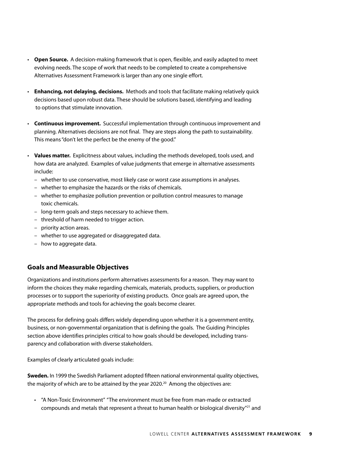- **Open Source.** A decision-making framework that is open, flexible, and easily adapted to meet evolving needs. The scope of work that needs to be completed to create a comprehensive Alternatives Assessment Framework is larger than any one single effort.
- **Enhancing, not delaying, decisions.** Methods and tools that facilitate making relatively quick decisions based upon robust data. These should be solutions based, identifying and leading to options that stimulate innovation.
- **Continuous improvement.** Successful implementation through continuous improvement and planning. Alternatives decisions are not final. They are steps along the path to sustainability. This means "don't let the perfect be the enemy of the good."
- **Values matter.** Explicitness about values, including the methods developed, tools used, and how data are analyzed. Examples of value judgments that emerge in alternative assessments include:
	- whether to use conservative, most likely case or worst case assumptions in analyses.
	- whether to emphasize the hazards or the risks of chemicals.
	- whether to emphasize pollution prevention or pollution control measures to manage toxic chemicals.
	- long-term goals and steps necessary to achieve them.
	- threshold of harm needed to trigger action.
	- priority action areas.
	- whether to use aggregated or disaggregated data.
	- how to aggregate data.

# **Goals and Measurable Objectives**

Organizations and institutions perform alternatives assessments for a reason. They may want to inform the choices they make regarding chemicals, materials, products, suppliers, or production processes or to support the superiority of existing products. Once goals are agreed upon, the appropriate methods and tools for achieving the goals become clearer.

The process for defining goals differs widely depending upon whether it is a government entity, business, or non-governmental organization that is defining the goals. The Guiding Principles section above identifies principles critical to how goals should be developed, including transparency and collaboration with diverse stakeholders.

Examples of clearly articulated goals include:

**Sweden.** In 1999 the Swedish Parliament adopted fifteen national environmental quality objectives, the majority of which are to be attained by the year 2020.<sup>20</sup> Among the objectives are:

• "A Non-Toxic Environment" "The environment must be free from man-made or extracted compounds and metals that represent a threat to human health or biological diversity $^{\prime\prime}$ <sup>21</sup> and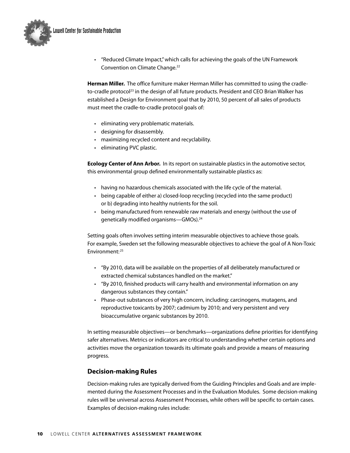

• "Reduced Climate Impact," which calls for achieving the goals of the UN Framework Convention on Climate Change.<sup>22</sup>

**Herman Miller.** The office furniture maker Herman Miller has committed to using the cradleto-cradle protocol<sup>23</sup> in the design of all future products. President and CEO Brian Walker has established a Design for Environment goal that by 2010, 50 percent of all sales of products must meet the cradle-to-cradle protocol goals of:

- eliminating very problematic materials.
- designing for disassembly.
- maximizing recycled content and recyclability.
- eliminating PVC plastic.

**Ecology Center of Ann Arbor.** In its report on sustainable plastics in the automotive sector, this environmental group defined environmentally sustainable plastics as:

- having no hazardous chemicals associated with the life cycle of the material.
- being capable of either a) closed-loop recycling (recycled into the same product) or b) degrading into healthy nutrients for the soil.
- being manufactured from renewable raw materials and energy (without the use of genetically modified organisms—GMOs).24

Setting goals often involves setting interim measurable objectives to achieve those goals. For example, Sweden set the following measurable objectives to achieve the goal of A Non-Toxic Environment: <sup>25</sup>

- "By 2010, data will be available on the properties of all deliberately manufactured or extracted chemical substances handled on the market."
- "By 2010, finished products will carry health and environmental information on any dangerous substances they contain."
- Phase-out substances of very high concern, including: carcinogens, mutagens, and reproductive toxicants by 2007; cadmium by 2010; and very persistent and very bioaccumulative organic substances by 2010.

In setting measurable objectives—or benchmarks—organizations define priorities for identifying safer alternatives. Metrics or indicators are critical to understanding whether certain options and activities move the organization towards its ultimate goals and provide a means of measuring progress.

# **Decision-making Rules**

Decision-making rules are typically derived from the Guiding Principles and Goals and are implemented during the Assessment Processes and in the Evaluation Modules. Some decision-making rules will be universal across Assessment Processes, while others will be specific to certain cases. Examples of decision-making rules include: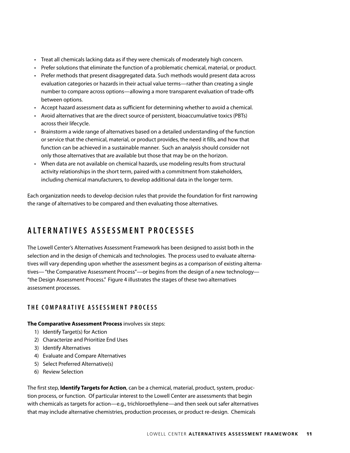- Treat all chemicals lacking data as if they were chemicals of moderately high concern.
- Prefer solutions that eliminate the function of a problematic chemical, material, or product.
- Prefer methods that present disaggregated data. Such methods would present data across evaluation categories or hazards in their actual value terms—rather than creating a single number to compare across options—allowing a more transparent evaluation of trade-offs between options.
- Accept hazard assessment data as sufficient for determining whether to avoid a chemical.
- Avoid alternatives that are the direct source of persistent, bioaccumulative toxics (PBTs) across their lifecycle.
- Brainstorm a wide range of alternatives based on a detailed understanding of the function or service that the chemical, material, or product provides, the need it fills, and how that function can be achieved in a sustainable manner. Such an analysis should consider not only those alternatives that are available but those that may be on the horizon.
- When data are not available on chemical hazards, use modeling results from structural activity relationships in the short term, paired with a commitment from stakeholders, including chemical manufacturers, to develop additional data in the longer term.

Each organization needs to develop decision rules that provide the foundation for first narrowing the range of alternatives to be compared and then evaluating those alternatives.

# **A LTe R n A TI V eS A SSeSS M e n T P R o CeSSeS**

The Lowell Center's Alternatives Assessment Framework has been designed to assist both in the selection and in the design of chemicals and technologies. The process used to evaluate alternatives will vary depending upon whether the assessment begins as a comparison of existing alternatives— "the Comparative Assessment Process"—or begins from the design of a new technology— "the Design Assessment Process." Figure 4 illustrates the stages of these two alternatives assessment processes.

#### **T H e C o M P A R A TI V e A SSeSS M e n T P R o CeSS**

#### **The Comparative Assessment Process** involves six steps:

- 1) Identify Target(s) for Action
- 2) Characterize and Prioritize End Uses
- 3) Identify Alternatives
- 4) Evaluate and Compare Alternatives
- 5) Select Preferred Alternative(s)
- 6) Review Selection

The first step, **Identify Targets for Action**, can be a chemical, material, product, system, production process, or function. Of particular interest to the Lowell Center are assessments that begin with chemicals as targets for action—e.g., trichloroethylene—and then seek out safer alternatives that may include alternative chemistries, production processes, or product re-design. Chemicals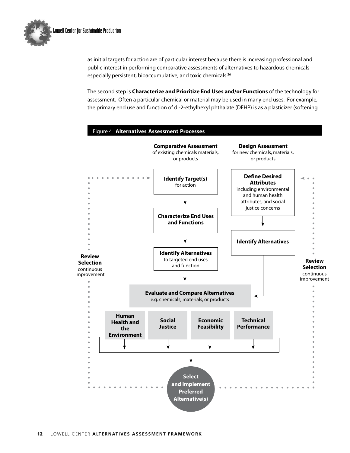

as initial targets for action are of particular interest because there is increasing professional and public interest in performing comparative assessments of alternatives to hazardous chemicals especially persistent, bioaccumulative, and toxic chemicals. 26

The second step is **Characterize and Prioritize End Uses and/or Functions** of the technology for assessment. Often a particular chemical or material may be used in many end uses. For example, the primary end use and function of di-2-ethylhexyl phthalate (DEHP) is as a plasticizer (softening

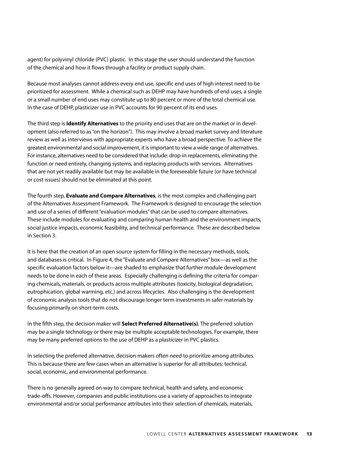agent) for polyvinyl chloride (PVC) plastic. In this stage the user should understand the function of the chemical and how it flows through a facility or product supply chain.

Because most analyses cannot address every end use, specific end uses of high interest need to be prioritized for assessment. While a chemical such as DEHP may have hundreds of end uses, a single or a small number of end uses may constitute up to 80 percent or more of the total chemical use. In the case of DEHP, plasticizer use in PVC accounts for 90 percent of its end uses.

The third step is **Identify Alternatives** to the priority end uses that are on the market or in development (also referred to as "on the horizon"). This may involve a broad market survey and literature review as well as interviews with appropriate experts who have a broad perspective. To achieve the greatest environmental and social improvement, it isimportant to view a wide range of alternatives. For instance, alternatives need to be considered that include: drop-in replacements, eliminating the function or need entirely, changing systems, and replacing products with services. Alternatives that are not yet readily available but may be available in the foreseeable future (or have technical or cost issues) should not be eliminated at this point.

The fourth step, **Evaluate and Compare Alternatives**, is the most complex and challenging part of the Alternatives Assessment Framework. The Framework is designed to encourage the selection and use of a series of different "evaluation modules" that can be used to compare alternatives. These include modules for evaluating and comparing human health and the environment impacts, social justice impacts, economic feasibility, and technical performance. These are described below in Section 3.

It is here that the creation of an open source system for filling in the necessary methods, tools, and databases is critical. In Figure 4, the "Evaluate and Compare Alternatives" box—as well as the specific evaluation factors below it—are shaded to emphasize that further module development needs to be done in each of these areas. Especially challenging is defining the criteria for comparing chemicals, materials, or products across multiple attributes (toxicity, biological degradation, eutrophication, global warming, etc.) and across lifecycles. Also challenging is the development of economic analysis tools that do not discourage longer term investments in safer materials by focusing primarily on short-term costs.

In the fifth step, the decision maker will **Select Preferred Alternative(s)**. The preferred solution may be a single technology or there may be multiple acceptable technologies. For example, there may be many preferred options to the use of DEHP as a plasticizer in PVC plastics.

In selecting the preferred alternative, decision makers often need to prioritize among attributes. This is because there are few cases when an alternative is superior for all attributes: technical, social, economic, and environmental performance.

There is no generally agreed on way to compare technical, health and safety, and economic trade-offs. However, companies and public institutions use a variety of approaches to integrate environmental and/or social performance attributes into their selection of chemicals, materials,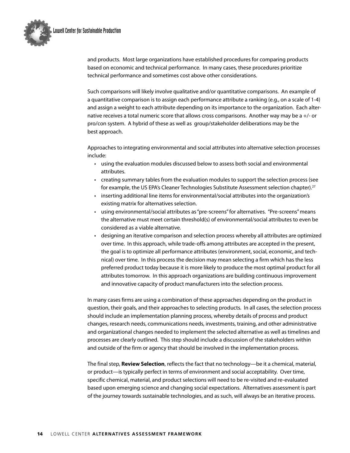

and products. Most large organizations have established procedures for comparing products based on economic and technical performance. In many cases, these procedures prioritize technical performance and sometimes cost above other considerations.

Such comparisons will likely involve qualitative and/or quantitative comparisons. An example of a quantitative comparison is to assign each performance attribute a ranking (e.g., on a scale of 1-4) and assign a weight to each attribute depending on its importance to the organization. Each alternative receives a total numeric score that allows cross comparisons. Another way may be a  $+/-$  or pro/con system. A hybrid of these as well as group/stakeholder deliberations may be the best approach.

Approaches to integrating environmental and social attributes into alternative selection processes include:

- using the evaluation modules discussed below to assess both social and environmental attributes.
- creating summary tables from the evaluation modules to support the selection process (see for example, the US EPA's Cleaner Technologies Substitute Assessment selection chapter).<sup>27</sup>
- inserting additional line items for environmental/social attributes into the organization's existing matrix for alternatives selection.
- using environmental/social attributes as "pre-screens" for alternatives. "Pre-screens" means the alternative must meet certain threshold(s) of environmental/social attributes to even be considered as a viable alternative.
- designing an iterative comparison and selection process whereby all attributes are optimized over time. In this approach, while trade-offs among attributes are accepted in the present, the goal is to optimize all performance attributes (environment, social, economic, and technical) over time. In this process the decision may mean selecting a firm which has the less preferred product today because it is more likely to produce the most optimal product for all attributes tomorrow. In this approach organizations are building continuous improvement and innovative capacity of product manufacturers into the selection process.

In many cases firms are using a combination of these approaches depending on the product in question, their goals, and their approaches to selecting products. In all cases, the selection process should include an implementation planning process, whereby details of process and product changes, research needs, communications needs, investments, training, and other administrative and organizational changes needed to implement the selected alternative as well as timelines and processes are clearly outlined. This step should include a discussion of the stakeholders within and outside of the firm or agency that should be involved in the implementation process.

The final step, **Review Selection**, reflects the fact that no technology—be it a chemical, material, or product—is typically perfect in terms of environment and social acceptability. Over time, specific chemical, material, and product selections will need to be re-visited and re-evaluated based upon emerging science and changing social expectations. Alternatives assessment is part of the journey towards sustainable technologies, and as such, will always be an iterative process.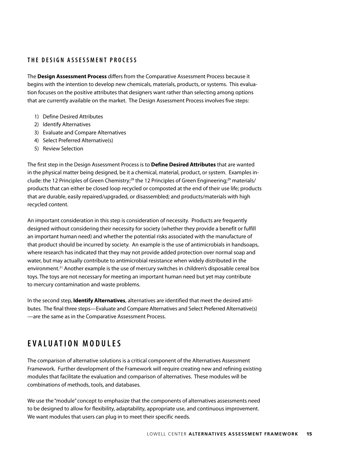# **T H e D eSI G n A SSeSS M e n T P R o CeSS**

The **Design Assessment Process** differs from the Comparative Assessment Process because it begins with the intention to develop new chemicals, materials, products, or systems. This evaluation focuses on the positive attributes that designers want rather than selecting among options that are currently available on the market. The Design Assessment Process involves five steps:

- 1) Define Desired Attributes
- 2) Identify Alternatives
- 3) Evaluate and Compare Alternatives
- 4) Select Preferred Alternative(s)
- 5) Review Selection

The first step in the Design Assessment Process is to **Define Desired Attributes** that are wanted in the physical matter being designed, be it a chemical, material, product, or system. Examples include: the 12 Principles of Green Chemistry; $^{28}$  the 12 Principles of Green Engineering; $^{29}$  materials/ products that can either be closed loop recycled or composted at the end of their use life; products that are durable, easily repaired/upgraded, or disassembled; and products/materials with high recycled content.

An important consideration in this step is consideration of necessity. Products are frequently designed without considering their necessity for society (whether they provide a benefit or fulfill an important human need) and whether the potential risks associated with the manufacture of that product should be incurred by society. An example is the use of antimicrobials in handsoaps, where research has indicated that they may not provide added protection over normal soap and water, but may actually contribute to antimicrobial resistance when widely distributed in the environment. 31 Another example is the use of mercury switches in children's disposable cereal box toys. The toys are not necessary for meeting an important human need but yet may contribute to mercury contamination and waste problems.

In the second step, **Identify Alternatives**, alternatives are identified that meet the desired attributes. The final three steps—Evaluate and Compare Alternatives and Select Preferred Alternative(s) —are the same as in the Comparative Assessment Process.

# **e V A L u A TI o n M o D u LeS**

The comparison of alternative solutions is a critical component of the Alternatives Assessment Framework. Further development of the Framework will require creating new and refining existing modules that facilitate the evaluation and comparison of alternatives. These modules will be combinations of methods, tools, and databases.

We use the "module" concept to emphasize that the components of alternatives assessments need to be designed to allow for flexibility, adaptability, appropriate use, and continuous improvement. We want modules that users can plug in to meet their specific needs.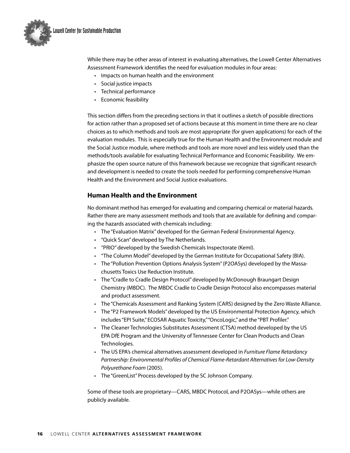

While there may be other areas of interest in evaluating alternatives, the Lowell Center Alternatives Assessment Framework identifies the need for evaluation modules in four areas:

- Impacts on human health and the environment
- Social justice impacts
- Technical performance
- Economic feasibility

This section differs from the preceding sections in that it outlines a sketch of possible directions for action rather than a proposed set of actions because at this moment in time there are no clear choices as to which methods and tools are most appropriate (for given applications) for each of the evaluation modules. This is especially true for the Human Health and the Environment module and the Social Justice module, where methods and tools are more novel and less widely used than the methods/tools available for evaluating Technical Performance and Economic Feasibility. We emphasize the open source nature of this framework because we recognize that significant research and development is needed to create the tools needed for performing comprehensive Human Health and the Environment and Social Justice evaluations.

# **Human Health and the Environment**

No dominant method has emerged for evaluating and comparing chemical or material hazards. Rather there are many assessment methods and tools that are available for defining and comparing the hazards associated with chemicals including:

- The "Evaluation Matrix" developed for the German Federal Environmental Agency.
- "Quick Scan" developed by The Netherlands.
- "PRIO" developed by the Swedish Chemicals Inspectorate (KemI).
- "The Column Model" developed by the German Institute for Occupational Safety (BIA).
- The "Pollution Prevention Options Analysis System" (P2OASys) developed by the Massachusetts Toxics Use Reduction Institute.
- The "Cradle to Cradle Design Protocol" developed by McDonough Braungart Design Chemistry (MBDC). The MBDC Cradle to Cradle Design Protocol also encompasses material and product assessment.
- The "Chemicals Assessment and Ranking System (CARS) designed by the Zero Waste Alliance.
- The "P2 Framework Models" developed by the US Environmental Protection Agency, which includes "EPI Suite," ECOSAR Aquatic Toxicity,""OncoLogic," and the "PBT Profiler."
- The Cleaner Technologies Substitutes Assessment (CTSA) method developed by the US EPA DfE Program and the University of Tennessee Center for Clean Products and Clean Technologies.
- The US EPA's chemical alternatives assessment developed in *Furniture Flame Retardancy Partnership: Environmental Profiles of Chemical Flame-Retardant Alternatives for Low-Density Polyurethane Foam* (2005).
- The "GreenList" Process developed by the SC Johnson Company.

Some of these tools are proprietary—CARS, MBDC Protocol, and P2OASys—while others are publicly available.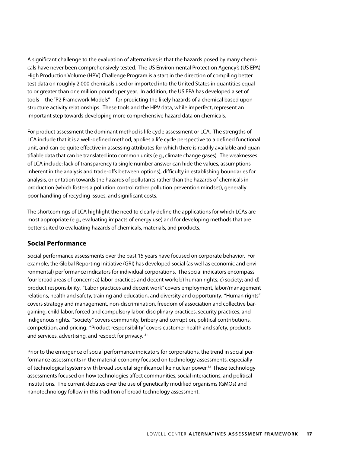A significant challenge to the evaluation of alternatives is that the hazards posed by many chemicals have never been comprehensively tested. The US Environmental Protection Agency's (US EPA) High Production Volume (HPV) Challenge Program is a start in the direction of compiling better test data on roughly 2,000 chemicals used or imported into the United States in quantities equal to or greater than one million pounds per year. In addition, the US EPA has developed a set of tools—the "P2 Framework Models"—for predicting the likely hazards of a chemical based upon structure activity relationships. These tools and the HPV data, while imperfect, represent an important step towards developing more comprehensive hazard data on chemicals.

For product assessment the dominant method is life cycle assessment or LCA. The strengths of LCA include that it is a well-defined method, applies a life cycle perspective to a defined functional unit, and can be quite effective in assessing attributes for which there is readily available and quantifiable data that can be translated into common units (e.g., climate change gases). The weaknesses of LCA include: lack of transparency (a single number answer can hide the values, assumptions inherent in the analysis and trade-offs between options), difficulty in establishing boundaries for analysis, orientation towards the hazards of pollutants rather than the hazards of chemicals in production (which fosters a pollution control rather pollution prevention mindset), generally poor handling of recycling issues, and significant costs.

The shortcomings of LCA highlight the need to clearly define the applications for which LCAs are most appropriate (e.g., evaluating impacts of energy use) and for developing methods that are better suited to evaluating hazards of chemicals, materials, and products.

#### **Social Performance**

Social performance assessments over the past 15 years have focused on corporate behavior. For example, the Global Reporting Initiative (GRI) has developed social (as well as economic and environmental) performance indicators for individual corporations. The social indicators encompass four broad areas of concern: a) labor practices and decent work; b) human rights; c) society; and d) product responsibility. "Labor practices and decent work" covers employment, labor/management relations, health and safety, training and education, and diversity and opportunity. "Human rights" covers strategy and management, non-discrimination, freedom of association and collective bargaining, child labor, forced and compulsory labor, disciplinary practices, security practices, and indigenous rights. "Society" covers community, bribery and corruption, political contributions, competition, and pricing. "Product responsibility" covers customer health and safety, products and services, advertising, and respect for privacy. 31

Prior to the emergence of social performance indicators for corporations, the trend in social performance assessments in the material economy focused on technology assessments, especially of technological systems with broad societal significance like nuclear power. 32 These technology assessments focused on how technologies affect communities, social interactions, and political institutions. The current debates over the use of genetically modified organisms (GMOs) and nanotechnology follow in this tradition of broad technology assessment.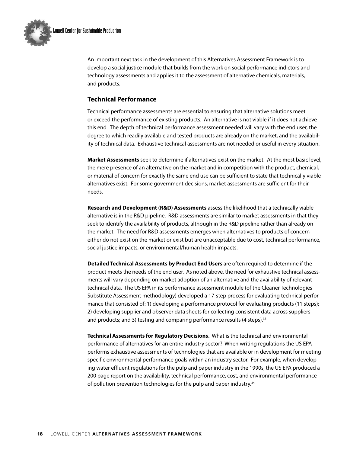

An important next task in the development of this Alternatives Assessment Framework is to develop a social justice module that builds from the work on social performance indictors and technology assessments and applies it to the assessment of alternative chemicals, materials, and products.

# **Technical Performance**

Technical performance assessments are essential to ensuring that alternative solutions meet or exceed the performance of existing products. An alternative is not viable if it does not achieve this end. The depth of technical performance assessment needed will vary with the end user, the degree to which readily available and tested products are already on the market, and the availability of technical data. Exhaustive technical assessments are not needed or useful in every situation.

**Market Assessments** seek to determine if alternatives exist on the market. At the most basic level, the mere presence of an alternative on the market and in competition with the product, chemical, or material of concern for exactly the same end use can be sufficient to state that technically viable alternatives exist. For some government decisions, market assessments are sufficient for their needs.

**Research and Development (R&D) Assessments** assess the likelihood that a technically viable alternative is in the R&D pipeline. R&D assessments are similar to market assessments in that they seek to identify the availability of products, although in the R&D pipeline rather than already on the market. The need for R&D assessments emerges when alternatives to products of concern either do not exist on the market or exist but are unacceptable due to cost, technical performance, social justice impacts, or environmental/human health impacts.

**Detailed Technical Assessments by Product End Users** are often required to determine if the product meets the needs of the end user. As noted above, the need for exhaustive technical assessments will vary depending on market adoption of an alternative and the availability of relevant technical data. The US EPA in its performance assessment module (of the Cleaner Technologies Substitute Assessment methodology) developed a 17-step process for evaluating technical performance that consisted of: 1) developing a performance protocol for evaluating products (11 steps); 2) developing supplier and observer data sheets for collecting consistent data across suppliers and products; and 3) testing and comparing performance results (4 steps).<sup>33</sup>

**Technical Assessments for Regulatory Decisions.** What is the technical and environmental performance of alternatives for an entire industry sector? When writing regulations the US EPA performs exhaustive assessments of technologies that are available or in development for meeting specific environmental performance goals within an industry sector. For example, when developing water effluent regulations for the pulp and paper industry in the 1990s, the US EPA produced a 200 page report on the availability, technical performance, cost, and environmental performance of pollution prevention technologies for the pulp and paper industry.<sup>34</sup>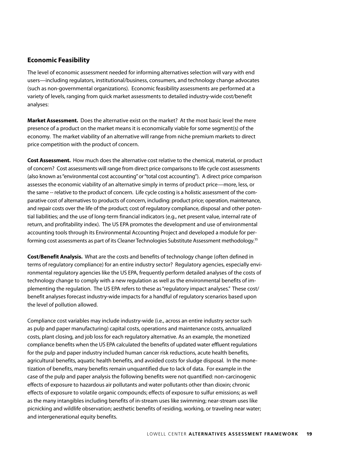# **Economic Feasibility**

The level of economic assessment needed for informing alternatives selection will vary with end users—including regulators, institutional/business, consumers, and technology change advocates (such as non-governmental organizations). Economic feasibility assessments are performed at a variety of levels, ranging from quick market assessments to detailed industry-wide cost/benefit analyses:

**Market Assessment.** Does the alternative exist on the market? At the most basic level the mere presence of a product on the market means it is economically viable for some segment(s) of the economy. The market viability of an alternative will range from niche premium markets to direct price competition with the product of concern.

**Cost Assessment.** How much does the alternative cost relative to the chemical, material, or product of concern? Cost assessments will range from direct price comparisons to life cycle cost assessments (also known as "environmental cost accounting" or "total cost accounting"). A direct price comparison assesses the economic viability of an alternative simply in terms of product price—more, less, or the same -- relative to the product of concern. Life cycle costing is a holistic assessment of the comparative cost of alternatives to products of concern, including: product price; operation, maintenance, and repair costs over the life of the product; cost of regulatory compliance, disposal and other potential liabilities; and the use of long-term financial indicators (e.g., net present value, internal rate of return, and profitability index). The US EPA promotes the development and use of environmental accounting tools through its Environmental Accounting Project and developed a module for performing cost assessments as part of its Cleaner Technologies Substitute Assessment methodology. $^{35}$ 

**Cost/Benefit Analysis.** What are the costs and benefits of technology change (often defined in terms of regulatory compliance) for an entire industry sector? Regulatory agencies, especially environmental regulatory agencies like the US EPA, frequently perform detailed analyses of the costs of technology change to comply with a new regulation as well as the environmental benefits of implementing the regulation. The US EPA refers to these as "regulatory impact analyses." These cost/ benefit analyses forecast industry-wide impacts for a handful of regulatory scenarios based upon the level of pollution allowed.

Compliance cost variables may include industry-wide (i.e., across an entire industry sector such as pulp and paper manufacturing) capital costs, operations and maintenance costs, annualized costs, plant closing, and job loss for each regulatory alternative. As an example, the monetized compliance benefits when the US EPA calculated the benefits of updated water effluent regulations for the pulp and paper industry included human cancer risk reductions, acute health benefits, agricultural benefits, aquatic health benefits, and avoided costs for sludge disposal. In the monetization of benefits, many benefits remain unquantified due to lack of data. For example in the case of the pulp and paper analysis the following benefits were not quantified: non-carcinogenic effects of exposure to hazardous air pollutants and water pollutants other than dioxin; chronic effects of exposure to volatile organic compounds; effects of exposure to sulfur emissions; as well as the many intangibles including benefits of in-stream uses like swimming; near-stream uses like picnicking and wildlife observation; aesthetic benefits of residing, working, or traveling near water; and intergenerational equity benefits.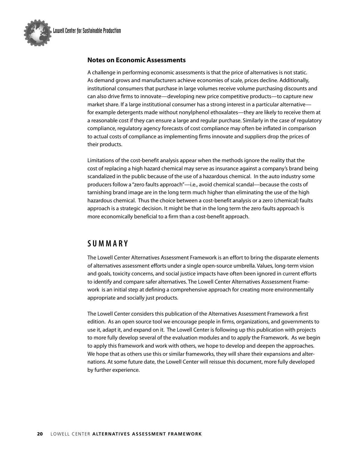

### **Notes on Economic Assessments**

A challenge in performing economic assessments is that the price of alternatives is not static. As demand grows and manufacturers achieve economies of scale, prices decline. Additionally, institutional consumers that purchase in large volumes receive volume purchasing discounts and can also drive firms to innovate—developing new price competitive products—to capture new market share. If a large institutional consumer has a strong interest in a particular alternative for example detergents made without nonylphenol ethoxalates—they are likely to receive them at a reasonable cost if they can ensure a large and regular purchase. Similarly in the case of regulatory compliance, regulatory agency forecasts of cost compliance may often be inflated in comparison to actual costs of compliance as implementing firms innovate and suppliers drop the prices of their products.

Limitations of the cost-benefit analysis appear when the methods ignore the reality that the cost of replacing a high hazard chemical may serve as insurance against a company's brand being scandalized in the public because of the use of a hazardous chemical. In the auto industry some producers follow a "zero faults approach"—i.e., avoid chemical scandal—because the costs of tarnishing brand image are in the long term much higher than eliminating the use of the high hazardous chemical. Thus the choice between a cost-benefit analysis or a zero (chemical) faults approach is a strategic decision. It might be that in the long term the zero faults approach is more economically beneficial to a firm than a cost-benefit approach.

# **S u M M A R y**

The Lowell Center Alternatives Assessment Framework is an effort to bring the disparate elements of alternatives assessment efforts under a single open-source umbrella. Values, long-term vision and goals, toxicity concerns, and social justice impacts have often been ignored in current efforts to identify and compare safer alternatives. The Lowell Center Alternatives Asssessment Framework is an initial step at defining a comprehensive approach for creating more environmentally appropriate and socially just products.

The Lowell Center considers this publication of the Alternatives Assessment Framework a first edition. As an open source tool we encourage people in firms, organizations, and governments to use it, adapt it, and expand on it. The Lowell Center is following up this publication with projects to more fully develop several of the evaluation modules and to apply the Framework. As we begin to apply this framework and work with others, we hope to develop and deepen the approaches. We hope that as others use this or similar frameworks, they will share their expansions and alternations. At some future date, the Lowell Center will reissue this document, more fully developed by further experience.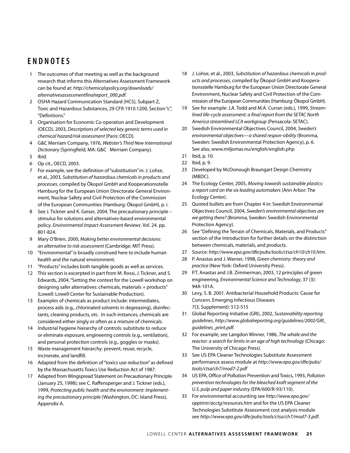# **e n D n o TeS**

- 1 The outcomes of that meeting as well as the background research that informs this Alternatives Assessment Framework can be found at: *http://chemicalspolicy.org/downloads/ alternativesassessmentfinalreport\_000.pdf*.
- 2 OSHA Hazard Communication Standard (HCS), Subpart Z, Toxic and Hazardous Substances, 29 CFR 1910.1200, Section "c", "Definitions."
- 3 Organisation for Economic Co-operation and Development (OECD), 2003, *Descriptions of selected key generic terms used in chemical hazard/risk assessment* (Paris: OECD).
- 4 G&C Merriam Company, 1976, *Webster's Third New International Dictionary* (Springfield, MA: G&C Merriam Company).
- 5 Ibid.
- 6 Op cit., OECD, 2003.
- 7 For example, see the definition of "substitution" in: J. Lohse, et al., 2003, *Substitution of hazardous chemicals in products and processes*, compiled by Ökopol GmbH and Kooperationsstelle Hamburg for the European Union Directorate General Environment, Nuclear Safety and Civil Protection of the Commission of the European Communities (Hamburg: Ökopol GmbH), p. i.
- 8 See J. Tickner and K. Geiser, 2004, The precautionary principle stimulus for solutions and alternatives-based environmental policy. *Environmental Impact Assessment Reviews*. Vol. 24. pp. 801-824.
- 9 Mary O'Brien, 2000, *Making better environmental decisions: an alternative to risk assessment* (Cambridge: MIT Press).
- 10 "Environmental" is broadly construed here to include human health and the natural environment.
- 11 "Products" includes both tangible goods as well as services.
- 12 This section is excerpted in part from M. Rossi, J. Tickner, and S. Edwards, 2004, "Setting the context for the Lowell workshop on designing safer alternatives: chemicals, materials + products" (Lowell: Lowell Center for Sustainable Production).
- 13 Examples of chemicals as product include: intermediates, process aids (e.g., chlorinated solvents in degreasing), disinfectants, cleaning products, etc. In such instances, chemicals are considered either singly or often as a mixture of chemicals.
- 14 Industrial hygiene hierarchy of controls: substitute to reduce or eliminate exposure, engineering controls (e.g., ventilation), and personal protection controls (e.g., goggles or masks).
- 15 Waste management hierarchy: prevent, reuse, recycle, incinerate, and landfill.
- 16 Adapted from the definition of "toxics use reduction" as defined by the Massachusetts Toxics Use Reduction Act of 1987.
- 17 Adapted from Wingspread Statement on Precautionary Principle (January 25, 1998); see C. Raffensperger and J. Tickner (eds.), 1999, *Protecting public health and the environment: Implementing the precautionary principle* (Washington, DC: Island Press), Appendix A.
- 18 J. Lohse, et al., 2003, *Substitution of hazardous chemicals in products and processes*, compiled by Ökopol GmbH and Kooperationsstelle Hamburg for the European Union Directorate General Environment, Nuclear Safety and Civil Protection of the Commission of the European Communities(Hamburg:Ökopol GmbH).
- 19 See for example: J.A. Todd and M.A. Curran (eds.), 1999, *Streamlined life-cycle assessment: a final report from the SETAC North America streamlined LCA workgroup* (Pensacola: SETAC).
- 20 Swedish Environmental Objectives Council, 2004, *Sweden's environmental objectives—a shared respon-sibility* (Bromma, Sweden: Swedish Environmental Protection Agency), p. 6. See also, www.miljomas.nu/english/english.php
- 21 Ibid, p. 10.
- 22 Ibid, p. 9.
- 23 Developed by McDonough Braungart Design Chemistry (MBDC).
- 24 The Ecology Center, 2005, *Moving towards sustainable plastics: a report card on the six leading automakers* (Ann Arbor: The Ecology Center).
- 25 Quoted bullets are from Chapter 4 in: Swedish Environmental Objectives Council, 2004, *Sweden's environmental objectives are we getting there?*(Bromma, Sweden: Swedish Environmental Protection Agency).
- 26 See "Defining the Terrain of Chemicals, Materials, and Products" section of the Introduction for further details on the distinction between chemicals, materials, and products.
- 27 Source: *http://www.epa.gov/dfe/pubs/tools/ctsa/ch10/ch10.htm*.
- 28 P. Anastas and J. Warner, 1998, *Green chemistry: theory and practice* (New York: Oxford University Press).
- 29 P.T. Anastas and J.B. Zimmerman, 2003, 12 principles of green engineering, *Environmental Science and Technology*, 37 (3): 94A-101A.
- 30 Levy, S. B. 2001. Antibacterial Household Products: Cause for Concern. Emerging Infectious Diseases 7(3, Supplement): 512-515
- 31 Global Reporting Initiative (GRI), 2002, *Sustainability reporting guidelines*, *http://www.globalreporting.org/guidelines/2002/GRI\_ guidelines\_print.pdf.*
- 32 For example, see Langdon Winner, 1986, *The whale and the reactor: a search for limits in an age of high technology* (Chicago: The University of Chicago Press).
- 33 See US EPA Cleaner Technologies Substitute Assessment performance assess module at *http://www.epa.gov/dfe/pubs/ tools/ctsa/ch7/mod7-2.pdf*
- 34 US EPA, Office of Pollution Prevention and Toxics, 1993, *Pollution prevention technologies for the bleached kraft segment of the U.S. pulp and paper industry* (EPA/600/R-93/110).
- 35 For environmental accounting see *http://www.epa.gov/ opptintr/acctg/resources.htm* and for the US EPA Cleaner Technologies Substitute Assessment cost analysis module see *http://www.epa.gov/dfe/pubs/tools/ctsa/ch7/mod7-3.pdf*.